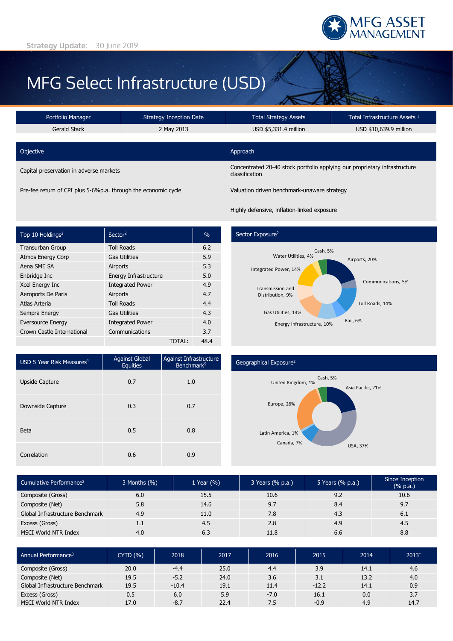

# MFG Select Infrastructure (USD)

| Portfolio Manager                       | <b>Strategy Inception Date</b> | <b>Total Strategy Assets</b>                                                                 | Total Infrastructure Assets 1 |  |  |
|-----------------------------------------|--------------------------------|----------------------------------------------------------------------------------------------|-------------------------------|--|--|
| Gerald Stack                            | 2 May 2013                     | USD \$5,331.4 million                                                                        | USD \$10,639.9 million        |  |  |
| Objective                               |                                | Approach                                                                                     |                               |  |  |
| Capital preservation in adverse markets |                                | Concentrated 20-40 stock portfolio applying our proprietary infrastructure<br>classification |                               |  |  |

Pre-fee return of CPI plus 5-6%p.a. through the economic cycle Valuation driven benchmark-unaware strategy

Highly defensive, inflation-linked exposure

| Top 10 Holdings <sup>2</sup> | Sector <sup>2</sup>     | $\frac{0}{0}$ |
|------------------------------|-------------------------|---------------|
| <b>Transurban Group</b>      | <b>Toll Roads</b>       | 6.2           |
| <b>Atmos Energy Corp</b>     | <b>Gas Utilities</b>    | 5.9           |
| Aena SME SA                  | Airports                | 5.3           |
| Enbridge Inc                 | Energy Infrastructure   | 5.0           |
| Xcel Energy Inc              | <b>Integrated Power</b> | 4.9           |
| Aeroports De Paris           | Airports                | 4.7           |
| Atlas Arteria                | <b>Toll Roads</b>       | 4.4           |
| Sempra Energy                | <b>Gas Utilities</b>    | 4.3           |
| <b>Eversource Energy</b>     | <b>Integrated Power</b> | 4.0           |
| Crown Castle International   | Communications          | 3.7           |
|                              | <b>TOTAL:</b>           | 48.4          |

# Sector Exposure<sup>2</sup>



| USD 5 Year Risk Measures <sup>4</sup> | <b>Against Global</b><br><b>Equities</b> | Against Infrastructure<br>Benchmark <sup>5</sup> |  |  |
|---------------------------------------|------------------------------------------|--------------------------------------------------|--|--|
| <b>Upside Capture</b>                 | 0.7                                      | 1.0                                              |  |  |
| Downside Capture                      | 0.3                                      | 0.7                                              |  |  |
| Beta                                  | 0.5                                      | 0.8                                              |  |  |
| Correlation                           | 0.6                                      | 0.9                                              |  |  |

## Geographical Exposure2



| Cumulative Performance <sup>3</sup> | $3$ Months $(\%)$ | 1 Year $(\% )$ | 3 Years (% p.a.) | 5 Years (% p.a.) | Since Inception<br>(% p.a.) |
|-------------------------------------|-------------------|----------------|------------------|------------------|-----------------------------|
| Composite (Gross)                   | 6.0               | 15.5           | 10.6             | 9.2              | 10.6                        |
| Composite (Net)                     | 5.8               | 14.6           | 9.7              | 8.4              | 9.7                         |
| Global Infrastructure Benchmark     | 4.9               | 11.0           | 7.8              | 4.3              | 6.1                         |
| Excess (Gross)                      | 1.1               | 4.5            | 2.8              | 4.9              | 4.5                         |
| <b>MSCI World NTR Index</b>         | 4.0               | 6.3            | 11.8             | 6.6              | 8.8                         |

| Annual Performance <sup>3</sup> | CYTD(%) | 2018    | 2017 | 2016   | 2015    | 2014 | $2013^{\circ}$ |
|---------------------------------|---------|---------|------|--------|---------|------|----------------|
| Composite (Gross)               | 20.0    | $-4.4$  | 25.0 | 4.4    | 3.9     | 14.1 | 4.6            |
| Composite (Net)                 | 19.5    | $-5.2$  | 24.0 | 3.6    | 3.1     | 13.2 | 4.0            |
| Global Infrastructure Benchmark | 19.5    | $-10.4$ | 19.1 | 11.4   | $-12.2$ | 14.1 | 0.9            |
| Excess (Gross)                  | 0.5     | 6.0     | 5.9  | $-7.0$ | 16.1    | 0.0  | 3.7            |
| <b>MSCI World NTR Index</b>     | 17.0    | $-8.7$  | 22.4 | 7.5    | $-0.9$  | 4.9  | 14.7           |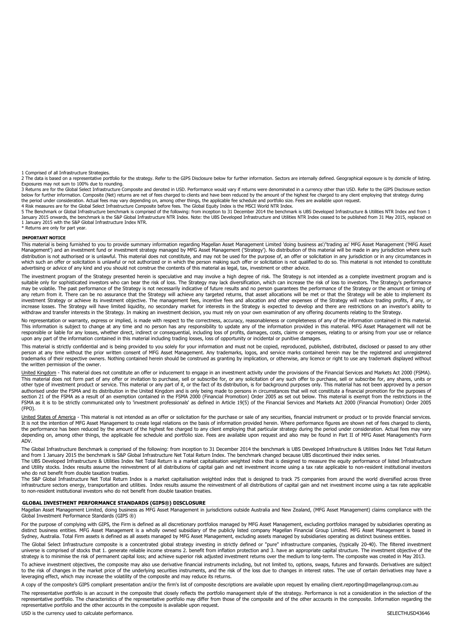1 Comprised of all Infrastructure Strategies.

2 The data is based on a representative portfolio for the strategy. Refer to the GIPS Disclosure below for further information. Sectors are internally defined. Geographical exposure is by domicile of listing.<br>Exposures may

3 Returns are for the Global Select Infrastructure Composite and denoted in USD. Performance would vary if returns were denominated in a currency other than USD. Refer to the GIPS Disclosure section below for further information. Composite (Net) returns are net of fees charged to clients and have been reduced by the amount of the highest fee charged to any client employing that strategy during the period under consideration. Actual fees may vary depending on, among other things, the applicable fee schedule and portfolio size. Fees are available upon request.<br>4 Risk measures are for the Global Select Infrastructu

January 2015 onwards, the benchmark is the S&P Global Infrastructure NTR Index. Note: the UBS Developed Infrastructure and Utilities NTR Index ceased to be published from 31 May 2015, replaced on 1 January 2015 with the S&P Global Infrastructure Index NTR. \* Returns are only for part year.

#### **IMPORTANT NOTICE**

This material is being furnished to you to provide summary information regarding Magellan Asset Management Limited 'doing business as'/'trading as' MFG Asset Management ('MFG Asset Management') and an investment fund or investment strategy managed by MFG Asset Management ('Strategy'). No distribution of this material will be made in any jurisdiction where such distribution is not authorised or is unlawful. This material does not constitute, and may not be used for the purpose of, an offer or solicitation in any jurisdiction or in any circumstances in which such an offer or solicitation is unlawful or not authorized or in which the person making such offer or solicitation is not qualified to do so. This material is not intended to constitute advertising or advice of any kind and you should not construe the contents of this material as legal, tax, investment or other advice.

The investment program of the Strategy presented herein is speculative and may involve a high degree of risk. The Strategy is not intended as a complete investment program and is<br>suitable only for sophisticated investors w may be volatile. The past performance of the Strategy is not necessarily indicative of future results and no person guarantees the performance of the Strategy or the amount or timing of any return from it. There can be no assurance that the Strategy will achieve any targeted returns, that asset allocations will be met or that the Strategy will be able to implement its investment Strategy or achieve its investment objective. The management fees, incentive fees and allocation and other expenses of the Strategy will reduce trading profits, if any, or increase losses. The Strategy will have limited liquidity, no secondary market for interests in the Strategy is expected to develop and there are restrictions on an investor's ability to withdraw and transfer interests in the Strategy. In making an investment decision, you must rely on your own examination of any offering documents relating to the Strategy.

No representation or warranty, express or implied, is made with respect to the correctness, accuracy, reasonableness or completeness of any of the information contained in this material. This information is subject to change at any time and no person has any responsibility to update any of the information provided in this material. MFG Asset Management will not be responsible or liable for any losses, whether direct, indirect or consequential, including loss of profits, damages, costs, claims or expenses, relating to or arising from your use or reliance upon any part of the information contained in this material including trading losses, loss of opportunity or incidental or punitive damages.

This material is strictly confidential and is being provided to you solely for your information and must not be copied, reproduced, published, distributed, disclosed or passed to any other<br>person at any time without the pr trademarks of their respective owners. Nothing contained herein should be construed as granting by implication, or otherwise, any licence or right to use any trademark displayed without the written permission of the owner.

United Kingdom - This material does not constitute an offer or inducement to engage in an investment activity under the provisions of the Financial Services and Markets Act 2000 (FSMA). This material does not form part of any offer or invitation to purchase, sell or subscribe for, or any solicitation of any such offer to purchase, sell or subscribe for, any shares, units or other type of investment product or service. This material or any part of it, or the fact of its distribution, is for background purposes only. This material has not been approved by a person authorised under the FSMA and its distribution in the United Kingdom and is only being made to persons in circumstances that will not constitute a financial promotion for the purposes of section 21 of the FSMA as a result of an exemption contained in the FSMA 2000 (Financial Promotion) Order 2005 as set out below. This material is exempt from the restrictions in the FSMA as it is to be strictly communicated only to 'investment professionals' as defined in Article 19(5) of the Financial Services and Markets Act 2000 (Financial Promotion) Order 2005 (FPO).

United States of America - This material is not intended as an offer or solicitation for the purchase or sale of any securities, financial instrument or product or to provide financial services. It is not the intention of MFG Asset Management to create legal relations on the basis of information provided herein. Where performance figures are shown net of fees charged to clients, the performance has been reduced by the amount of the highest fee charged to any client employing that particular strategy during the period under consideration. Actual fees may vary depending on, among other things, the applicable fee schedule and portfolio size. Fees are available upon request and also may be found in Part II of MFG Asset Management's Form ADV.

The Global Infrastructure Benchmark is comprised of the following: from inception to 31 December 2014 the benchmark is UBS Developed Infrastructure & Utilities Index Net Total Return and from 1 January 2015 the benchmark is S&P Global Infrastructure Net Total Return Index. The benchmark changed because UBS discontinued their index series.

The UBS Developed Infrastructure & Utilities Index Net Total Return is a market capitalisation weighted index that is designed to measure the equity performance of listed Infrastructure and Utility stocks. Index results assume the reinvestment of all distributions of capital gain and net investment income using a tax rate applicable to non-resident institutional investors who do not benefit from double taxation treaties.

The S&P Global Infrastructure Net Total Return Index is a market capitalisation weighted index that is designed to track 75 companies from around the world diversified across three infrastructure sectors energy, transportation and utilities. Index results assume the reinvestment of all distributions of capital gain and net investment income using a tax rate applicable to non-resident institutional investors who do not benefit from double taxation treaties.

#### **GLOBAL INVESTMENT PERFORMANCE STANDARDS (GIPS®) DISCLOSURE**

Magellan Asset Management Limited, doing business as MFG Asset Management in jurisdictions outside Australia and New Zealand, (MFG Asset Management) claims compliance with the Global Investment Performance Standards (GIPS ®)

For the purpose of complying with GIPS, the Firm is defined as all discretionary portfolios managed by MFG Asset Management, excluding portfolios managed by subsidiaries operating as<br>distinct business entities. MFG Asset M Sydney, Australia. Total Firm assets is defined as all assets managed by MFG Asset Management, excluding assets managed by subsidiaries operating as distinct business entities.

The Global Select Infrastructure composite is a concentrated global strategy investing in strictly defined or "pure" infrastructure companies, (typically 20-40). The filtered investment universe is comprised of stocks that 1. generate reliable income streams 2. benefit from inflation protection and 3. have an appropriate capital structure. The investment objective of the strategy is to minimise the risk of permanent capital loss; and achieve superior risk adjusted investment returns over the medium to long-term. The composite was created in May 2013.

To achieve investment objectives, the composite may also use derivative financial instruments including, but not limited to, options, swaps, futures and forwards. Derivatives are subject<br>to the risk of changes in the marke leveraging effect, which may increase the volatility of the composite and may reduce its returns.

A copy of the composite's GIPS compliant presentation and/or the firm's list of composite descriptions are available upon request by emailing client.reporting@magellangroup.com.au

The representative portfolio is an account in the composite that closely reflects the portfolio management style of the strategy. Performance is not a consideration in the selection of the representative portfolio. The characteristics of the representative portfolio may differ from those of the composite and of the other accounts in the composite. Information regarding the representative portfolio and the other accounts in the composite is available upon request.

USD is the currency used to calculate performance. The currency of the currency used to calculate performance.